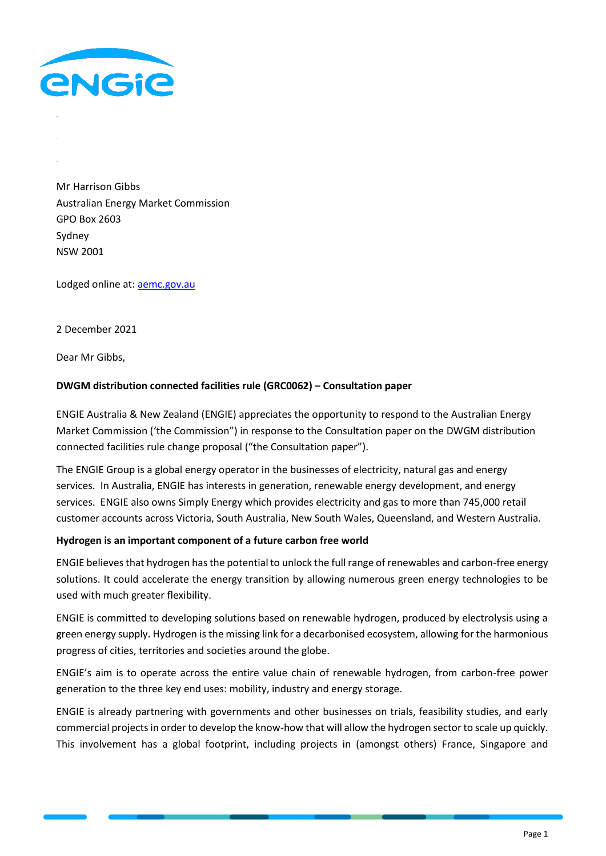

Mr Harrison Gibbs Australian Energy Market Commission GPO Box 2603 Sydney NSW 2001

Lodged online at: [aemc.gov.au](file:///C:/Users/USER/AppData/Local/Microsoft/Windows/INetCache/Content.Outlook/MS1SCGVS/aemc.gov.au)

2 December 2021

Dear Mr Gibbs,

#### **DWGM distribution connected facilities rule (GRC0062) – Consultation paper**

ENGIE Australia & New Zealand (ENGIE) appreciates the opportunity to respond to the Australian Energy Market Commission ('the Commission") in response to the Consultation paper on the DWGM distribution connected facilities rule change proposal ("the Consultation paper").

The ENGIE Group is a global energy operator in the businesses of electricity, natural gas and energy services. In Australia, ENGIE has interests in generation, renewable energy development, and energy services. ENGIE also owns Simply Energy which provides electricity and gas to more than 745,000 retail customer accounts across Victoria, South Australia, New South Wales, Queensland, and Western Australia.

#### **Hydrogen is an important component of a future carbon free world**

ENGIE believes that hydrogen has the potential to unlock the full range of renewables and carbon-free energy solutions. It could accelerate the energy transition by allowing numerous green energy technologies to be used with much greater flexibility.

ENGIE is committed to developing solutions based on renewable hydrogen, produced by electrolysis using a green energy supply. Hydrogen is the missing link for a decarbonised ecosystem, allowing for the harmonious progress of cities, territories and societies around the globe.

ENGIE's aim is to operate across the entire value chain of renewable hydrogen, from carbon-free power generation to the three key end uses: mobility, industry and energy storage.

ENGIE is already partnering with governments and other businesses on trials, feasibility studies, and early commercial projects in order to develop the know-how that will allow the hydrogen sector to scale up quickly. This involvement has a global footprint, including projects in (amongst others) France, Singapore and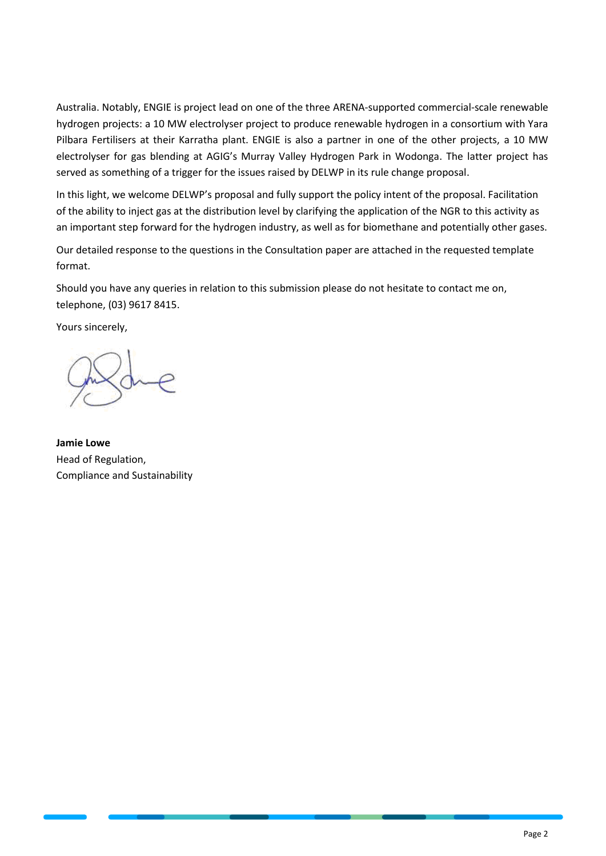Australia. Notably, ENGIE is project lead on one of the three ARENA-supported commercial-scale renewable hydrogen projects: a 10 MW electrolyser project to produce renewable hydrogen in a consortium with Yara Pilbara Fertilisers at their Karratha plant. ENGIE is also a partner in one of the other projects, a 10 MW electrolyser for gas blending at AGIG's Murray Valley Hydrogen Park in Wodonga. The latter project has served as something of a trigger for the issues raised by DELWP in its rule change proposal.

In this light, we welcome DELWP's proposal and fully support the policy intent of the proposal. Facilitation of the ability to inject gas at the distribution level by clarifying the application of the NGR to this activity as an important step forward for the hydrogen industry, as well as for biomethane and potentially other gases.

Our detailed response to the questions in the Consultation paper are attached in the requested template format.

Should you have any queries in relation to this submission please do not hesitate to contact me on, telephone, (03) 9617 8415.

Yours sincerely,

**Jamie Lowe** Head of Regulation, Compliance and Sustainability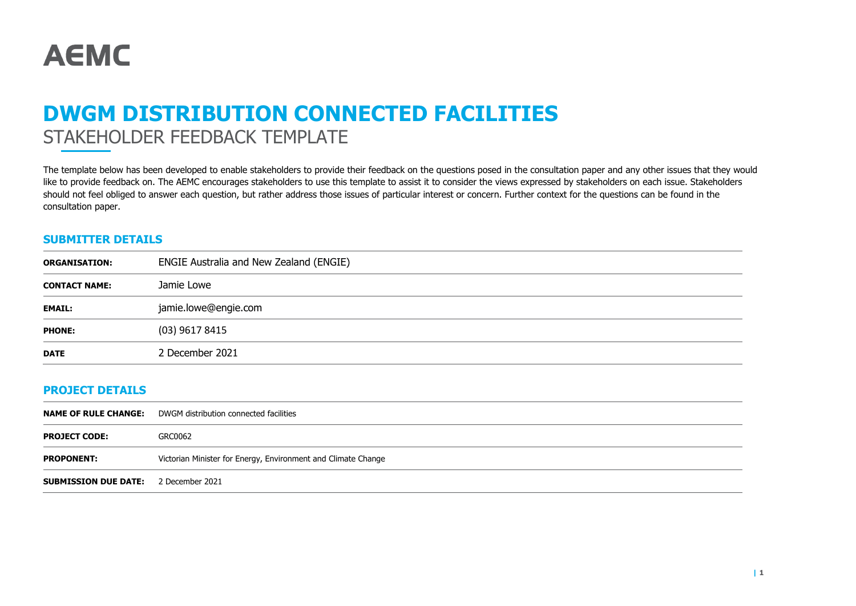

# **DWGM DISTRIBUTION CONNECTED FACILITIES** STAKEHOLDER FEEDBACK TEMPLATE

The template below has been developed to enable stakeholders to provide their feedback on the questions posed in the consultation paper and any other issues that they would like to provide feedback on. The AEMC encourages stakeholders to use this template to assist it to consider the views expressed by stakeholders on each issue. Stakeholders should not feel obliged to answer each question, but rather address those issues of particular interest or concern. Further context for the questions can be found in the consultation paper.

### **SUBMITTER DETAILS**

| <b>ORGANISATION:</b> | ENGIE Australia and New Zealand (ENGIE) |
|----------------------|-----------------------------------------|
| <b>CONTACT NAME:</b> | Jamie Lowe                              |
| <b>EMAIL:</b>        | jamie.lowe@engie.com                    |
| <b>PHONE:</b>        | (03) 9617 8415                          |
| <b>DATE</b>          | 2 December 2021                         |

### **PROJECT DETAILS**

|                                             | <b>NAME OF RULE CHANGE:</b> DWGM distribution connected facilities |
|---------------------------------------------|--------------------------------------------------------------------|
| <b>PROJECT CODE:</b>                        | GRC0062                                                            |
| <b>PROPONENT:</b>                           | Victorian Minister for Energy, Environment and Climate Change      |
| <b>SUBMISSION DUE DATE:</b> 2 December 2021 |                                                                    |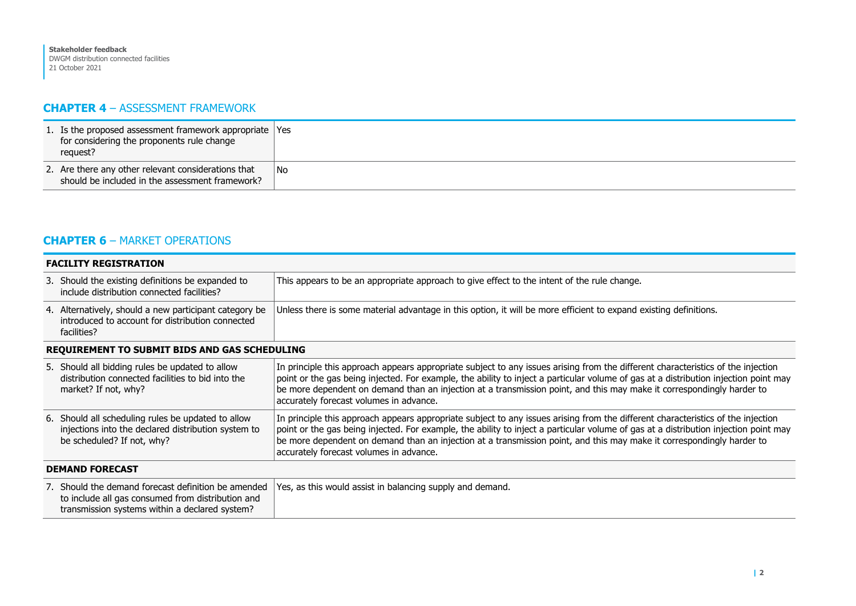## **CHAPTER 4** – ASSESSMENT FRAMEWORK

| 1. Is the proposed assessment framework appropriate Yes<br>for considering the proponents rule change<br>request? |    |
|-------------------------------------------------------------------------------------------------------------------|----|
| 2. Are there any other relevant considerations that<br>should be included in the assessment framework?            | No |

## **CHAPTER 6** – MARKET OPERATIONS

| <b>FACILITY REGISTRATION</b>                                                                                                                               |                                                                                                                                                                                                                                                                                                                                                                                                                                              |  |
|------------------------------------------------------------------------------------------------------------------------------------------------------------|----------------------------------------------------------------------------------------------------------------------------------------------------------------------------------------------------------------------------------------------------------------------------------------------------------------------------------------------------------------------------------------------------------------------------------------------|--|
| 3. Should the existing definitions be expanded to<br>include distribution connected facilities?                                                            | This appears to be an appropriate approach to give effect to the intent of the rule change.                                                                                                                                                                                                                                                                                                                                                  |  |
| 4. Alternatively, should a new participant category be<br>introduced to account for distribution connected<br>facilities?                                  | Unless there is some material advantage in this option, it will be more efficient to expand existing definitions.                                                                                                                                                                                                                                                                                                                            |  |
| <b>REQUIREMENT TO SUBMIT BIDS AND GAS SCHEDULING</b>                                                                                                       |                                                                                                                                                                                                                                                                                                                                                                                                                                              |  |
| 5. Should all bidding rules be updated to allow<br>distribution connected facilities to bid into the<br>market? If not, why?                               | In principle this approach appears appropriate subject to any issues arising from the different characteristics of the injection<br>point or the gas being injected. For example, the ability to inject a particular volume of gas at a distribution injection point may<br>be more dependent on demand than an injection at a transmission point, and this may make it correspondingly harder to<br>accurately forecast volumes in advance. |  |
| 6. Should all scheduling rules be updated to allow<br>injections into the declared distribution system to<br>be scheduled? If not, why?                    | In principle this approach appears appropriate subject to any issues arising from the different characteristics of the injection<br>point or the gas being injected. For example, the ability to inject a particular volume of gas at a distribution injection point may<br>be more dependent on demand than an injection at a transmission point, and this may make it correspondingly harder to<br>accurately forecast volumes in advance. |  |
| <b>DEMAND FORECAST</b>                                                                                                                                     |                                                                                                                                                                                                                                                                                                                                                                                                                                              |  |
| 7. Should the demand forecast definition be amended<br>to include all gas consumed from distribution and<br>transmission systems within a declared system? | Yes, as this would assist in balancing supply and demand.                                                                                                                                                                                                                                                                                                                                                                                    |  |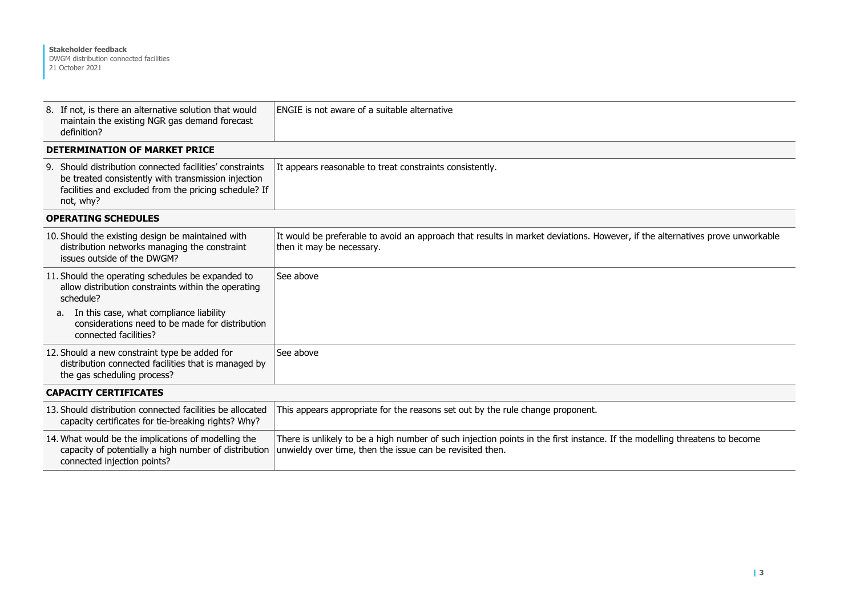| 8. If not, is there an alternative solution that would<br>maintain the existing NGR gas demand forecast<br>definition?                                                                | ENGIE is not aware of a suitable alternative                                                                                                                                            |
|---------------------------------------------------------------------------------------------------------------------------------------------------------------------------------------|-----------------------------------------------------------------------------------------------------------------------------------------------------------------------------------------|
| <b>DETERMINATION OF MARKET PRICE</b>                                                                                                                                                  |                                                                                                                                                                                         |
| 9. Should distribution connected facilities' constraints<br>be treated consistently with transmission injection<br>facilities and excluded from the pricing schedule? If<br>not, why? | It appears reasonable to treat constraints consistently.                                                                                                                                |
| <b>OPERATING SCHEDULES</b>                                                                                                                                                            |                                                                                                                                                                                         |
| 10. Should the existing design be maintained with<br>distribution networks managing the constraint<br>issues outside of the DWGM?                                                     | It would be preferable to avoid an approach that results in market deviations. However, if the alternatives prove unworkable<br>then it may be necessary.                               |
| 11. Should the operating schedules be expanded to<br>allow distribution constraints within the operating<br>schedule?                                                                 | See above                                                                                                                                                                               |
| a. In this case, what compliance liability<br>considerations need to be made for distribution<br>connected facilities?                                                                |                                                                                                                                                                                         |
| 12. Should a new constraint type be added for<br>distribution connected facilities that is managed by<br>the gas scheduling process?                                                  | See above                                                                                                                                                                               |
| <b>CAPACITY CERTIFICATES</b>                                                                                                                                                          |                                                                                                                                                                                         |
| 13. Should distribution connected facilities be allocated<br>capacity certificates for tie-breaking rights? Why?                                                                      | This appears appropriate for the reasons set out by the rule change proponent.                                                                                                          |
| 14. What would be the implications of modelling the<br>capacity of potentially a high number of distribution<br>connected injection points?                                           | There is unlikely to be a high number of such injection points in the first instance. If the modelling threatens to become<br>unwieldy over time, then the issue can be revisited then. |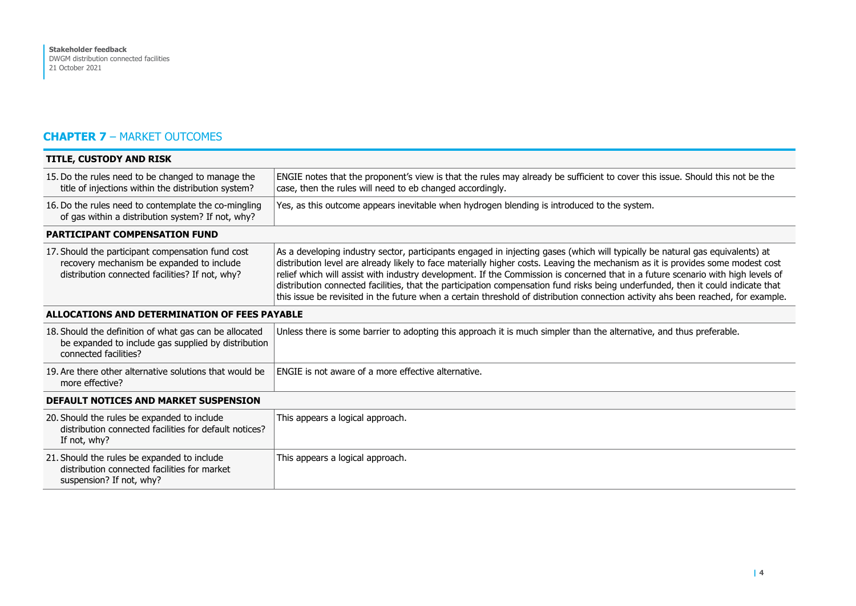## **CHAPTER 7** – MARKET OUTCOMES

| <b>TITLE, CUSTODY AND RISK</b>                                                                                                                    |                                                                                                                                                                                                                                                                                                                                                                                                                                                                                                                                                                                                                                                                               |  |
|---------------------------------------------------------------------------------------------------------------------------------------------------|-------------------------------------------------------------------------------------------------------------------------------------------------------------------------------------------------------------------------------------------------------------------------------------------------------------------------------------------------------------------------------------------------------------------------------------------------------------------------------------------------------------------------------------------------------------------------------------------------------------------------------------------------------------------------------|--|
| 15. Do the rules need to be changed to manage the<br>title of injections within the distribution system?                                          | ENGIE notes that the proponent's view is that the rules may already be sufficient to cover this issue. Should this not be the<br>case, then the rules will need to eb changed accordingly.                                                                                                                                                                                                                                                                                                                                                                                                                                                                                    |  |
| 16. Do the rules need to contemplate the co-mingling<br>of gas within a distribution system? If not, why?                                         | Yes, as this outcome appears inevitable when hydrogen blending is introduced to the system.                                                                                                                                                                                                                                                                                                                                                                                                                                                                                                                                                                                   |  |
| <b>PARTICIPANT COMPENSATION FUND</b>                                                                                                              |                                                                                                                                                                                                                                                                                                                                                                                                                                                                                                                                                                                                                                                                               |  |
| 17. Should the participant compensation fund cost<br>recovery mechanism be expanded to include<br>distribution connected facilities? If not, why? | As a developing industry sector, participants engaged in injecting gases (which will typically be natural gas equivalents) at<br>distribution level are already likely to face materially higher costs. Leaving the mechanism as it is provides some modest cost<br>relief which will assist with industry development. If the Commission is concerned that in a future scenario with high levels of<br>distribution connected facilities, that the participation compensation fund risks being underfunded, then it could indicate that<br>this issue be revisited in the future when a certain threshold of distribution connection activity ahs been reached, for example. |  |
| ALLOCATIONS AND DETERMINATION OF FEES PAYABLE                                                                                                     |                                                                                                                                                                                                                                                                                                                                                                                                                                                                                                                                                                                                                                                                               |  |
| 18. Should the definition of what gas can be allocated<br>be expanded to include gas supplied by distribution<br>connected facilities?            | Unless there is some barrier to adopting this approach it is much simpler than the alternative, and thus preferable.                                                                                                                                                                                                                                                                                                                                                                                                                                                                                                                                                          |  |
| 19. Are there other alternative solutions that would be<br>more effective?                                                                        | ENGIE is not aware of a more effective alternative.                                                                                                                                                                                                                                                                                                                                                                                                                                                                                                                                                                                                                           |  |
| DEFAULT NOTICES AND MARKET SUSPENSION                                                                                                             |                                                                                                                                                                                                                                                                                                                                                                                                                                                                                                                                                                                                                                                                               |  |
| 20. Should the rules be expanded to include<br>distribution connected facilities for default notices?<br>If not, why?                             | This appears a logical approach.                                                                                                                                                                                                                                                                                                                                                                                                                                                                                                                                                                                                                                              |  |
| 21. Should the rules be expanded to include<br>distribution connected facilities for market<br>suspension? If not, why?                           | This appears a logical approach.                                                                                                                                                                                                                                                                                                                                                                                                                                                                                                                                                                                                                                              |  |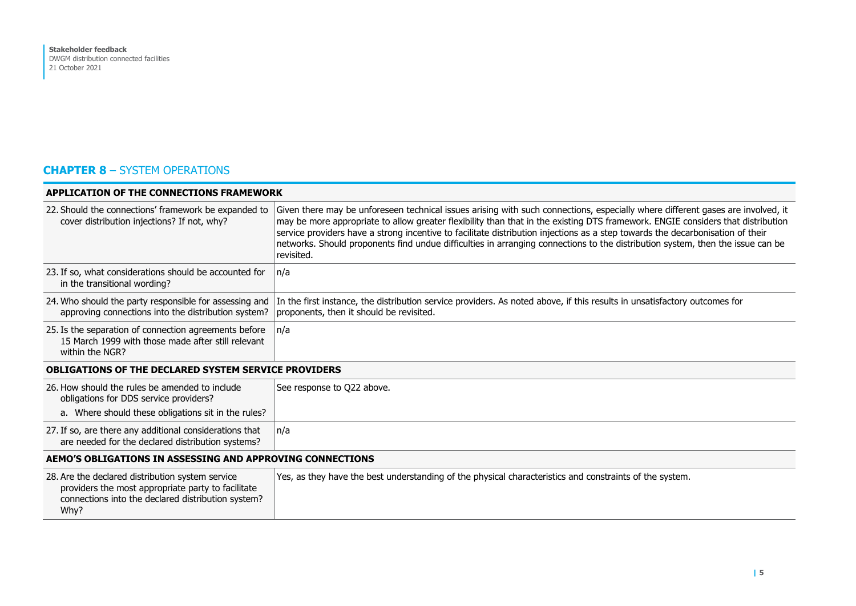# **CHAPTER 8** – SYSTEM OPERATIONS

| <b>APPLICATION OF THE CONNECTIONS FRAMEWORK</b>                                                                                                                      |                                                                                                                                                                                                                                                                                                                                                                                                                                                                                                                                                      |  |
|----------------------------------------------------------------------------------------------------------------------------------------------------------------------|------------------------------------------------------------------------------------------------------------------------------------------------------------------------------------------------------------------------------------------------------------------------------------------------------------------------------------------------------------------------------------------------------------------------------------------------------------------------------------------------------------------------------------------------------|--|
| 22. Should the connections' framework be expanded to<br>cover distribution injections? If not, why?                                                                  | Given there may be unforeseen technical issues arising with such connections, especially where different gases are involved, it<br>may be more appropriate to allow greater flexibility than that in the existing DTS framework. ENGIE considers that distribution<br>service providers have a strong incentive to facilitate distribution injections as a step towards the decarbonisation of their<br>networks. Should proponents find undue difficulties in arranging connections to the distribution system, then the issue can be<br>revisited. |  |
| 23. If so, what considerations should be accounted for<br>in the transitional wording?                                                                               | n/a                                                                                                                                                                                                                                                                                                                                                                                                                                                                                                                                                  |  |
| 24. Who should the party responsible for assessing and<br>approving connections into the distribution system?                                                        | In the first instance, the distribution service providers. As noted above, if this results in unsatisfactory outcomes for<br>proponents, then it should be revisited.                                                                                                                                                                                                                                                                                                                                                                                |  |
| 25. Is the separation of connection agreements before<br>15 March 1999 with those made after still relevant<br>within the NGR?                                       | $\ln/a$                                                                                                                                                                                                                                                                                                                                                                                                                                                                                                                                              |  |
| <b>OBLIGATIONS OF THE DECLARED SYSTEM SERVICE PROVIDERS</b>                                                                                                          |                                                                                                                                                                                                                                                                                                                                                                                                                                                                                                                                                      |  |
| 26. How should the rules be amended to include<br>obligations for DDS service providers?<br>a. Where should these obligations sit in the rules?                      | See response to Q22 above.                                                                                                                                                                                                                                                                                                                                                                                                                                                                                                                           |  |
| 27. If so, are there any additional considerations that<br>are needed for the declared distribution systems?                                                         | n/a                                                                                                                                                                                                                                                                                                                                                                                                                                                                                                                                                  |  |
| AEMO'S OBLIGATIONS IN ASSESSING AND APPROVING CONNECTIONS                                                                                                            |                                                                                                                                                                                                                                                                                                                                                                                                                                                                                                                                                      |  |
| 28. Are the declared distribution system service<br>providers the most appropriate party to facilitate<br>connections into the declared distribution system?<br>Why? | Yes, as they have the best understanding of the physical characteristics and constraints of the system.                                                                                                                                                                                                                                                                                                                                                                                                                                              |  |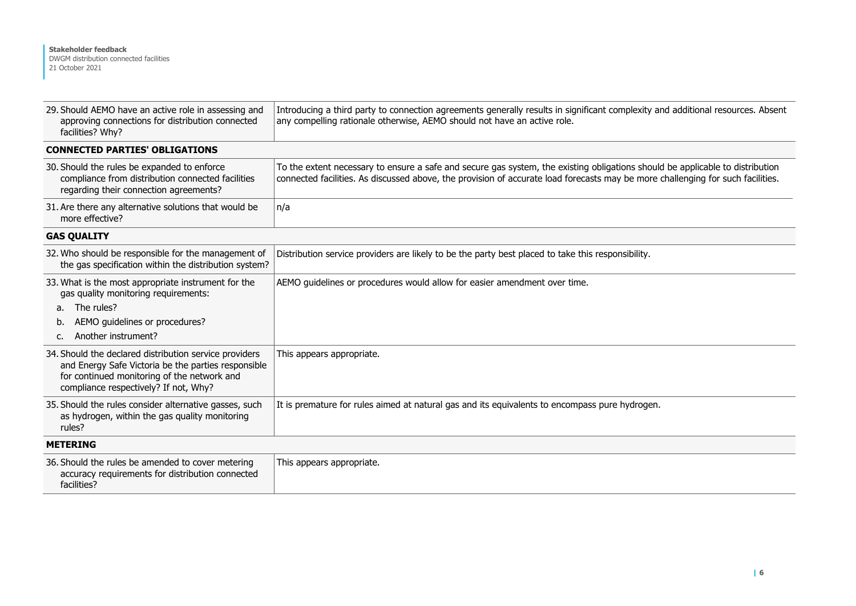| 29. Should AEMO have an active role in assessing and<br>approving connections for distribution connected<br>facilities? Why?                                                                          | Introducing a third party to connection agreements generally results in significant complexity and additional resources. Absent<br>any compelling rationale otherwise, AEMO should not have an active role.                                                      |
|-------------------------------------------------------------------------------------------------------------------------------------------------------------------------------------------------------|------------------------------------------------------------------------------------------------------------------------------------------------------------------------------------------------------------------------------------------------------------------|
| <b>CONNECTED PARTIES' OBLIGATIONS</b>                                                                                                                                                                 |                                                                                                                                                                                                                                                                  |
| 30. Should the rules be expanded to enforce<br>compliance from distribution connected facilities<br>regarding their connection agreements?                                                            | To the extent necessary to ensure a safe and secure gas system, the existing obligations should be applicable to distribution<br>connected facilities. As discussed above, the provision of accurate load forecasts may be more challenging for such facilities. |
| 31. Are there any alternative solutions that would be<br>more effective?                                                                                                                              | n/a                                                                                                                                                                                                                                                              |
| <b>GAS QUALITY</b>                                                                                                                                                                                    |                                                                                                                                                                                                                                                                  |
| 32. Who should be responsible for the management of<br>the gas specification within the distribution system?                                                                                          | Distribution service providers are likely to be the party best placed to take this responsibility.                                                                                                                                                               |
| 33. What is the most appropriate instrument for the<br>gas quality monitoring requirements:<br>The rules?<br>а.<br>AEMO guidelines or procedures?<br>b.<br>Another instrument?<br>$\mathsf{C}$ .      | AEMO guidelines or procedures would allow for easier amendment over time.                                                                                                                                                                                        |
| 34. Should the declared distribution service providers<br>and Energy Safe Victoria be the parties responsible<br>for continued monitoring of the network and<br>compliance respectively? If not, Why? | This appears appropriate.                                                                                                                                                                                                                                        |
| 35. Should the rules consider alternative gasses, such<br>as hydrogen, within the gas quality monitoring<br>rules?                                                                                    | It is premature for rules aimed at natural gas and its equivalents to encompass pure hydrogen.                                                                                                                                                                   |
| <b>METERING</b>                                                                                                                                                                                       |                                                                                                                                                                                                                                                                  |
| 36. Should the rules be amended to cover metering<br>accuracy requirements for distribution connected<br>facilities?                                                                                  | This appears appropriate.                                                                                                                                                                                                                                        |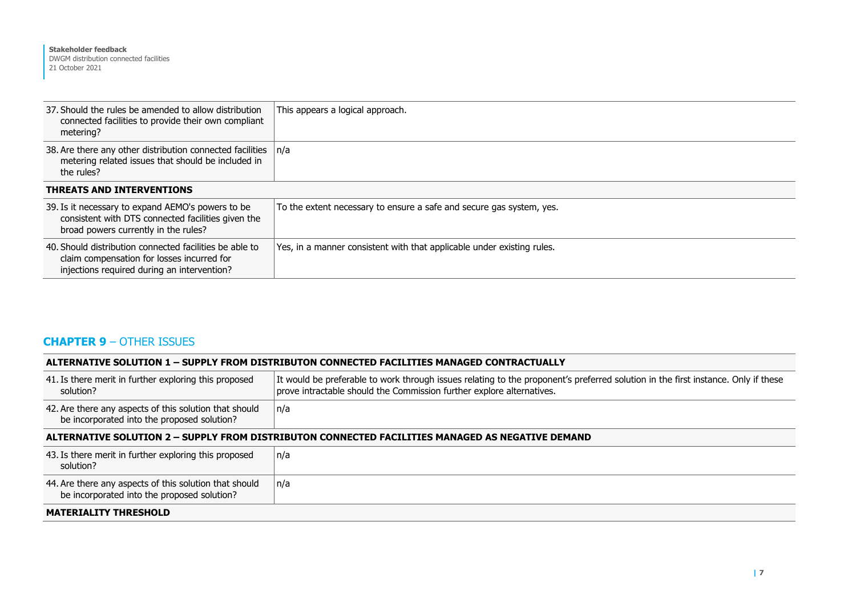| 37. Should the rules be amended to allow distribution<br>connected facilities to provide their own compliant<br>metering?                            | This appears a logical approach.                                       |  |
|------------------------------------------------------------------------------------------------------------------------------------------------------|------------------------------------------------------------------------|--|
| 38. Are there any other distribution connected facilities<br>metering related issues that should be included in<br>the rules?                        | $\ln/a$                                                                |  |
| <b>THREATS AND INTERVENTIONS</b>                                                                                                                     |                                                                        |  |
| 39. Is it necessary to expand AEMO's powers to be<br>consistent with DTS connected facilities given the<br>broad powers currently in the rules?      | To the extent necessary to ensure a safe and secure gas system, yes.   |  |
| 40. Should distribution connected facilities be able to<br>claim compensation for losses incurred for<br>injections required during an intervention? | Yes, in a manner consistent with that applicable under existing rules. |  |

## **CHAPTER 9** – OTHER ISSUES

| ALTERNATIVE SOLUTION 1 - SUPPLY FROM DISTRIBUTON CONNECTED FACILITIES MANAGED CONTRACTUALLY           |                                                                                                                                                                                                            |  |
|-------------------------------------------------------------------------------------------------------|------------------------------------------------------------------------------------------------------------------------------------------------------------------------------------------------------------|--|
| 41. Is there merit in further exploring this proposed<br>solution?                                    | It would be preferable to work through issues relating to the proponent's preferred solution in the first instance. Only if these<br>prove intractable should the Commission further explore alternatives. |  |
| 42. Are there any aspects of this solution that should<br>be incorporated into the proposed solution? | n/a                                                                                                                                                                                                        |  |
| ALTERNATIVE SOLUTION 2 - SUPPLY FROM DISTRIBUTON CONNECTED FACILITIES MANAGED AS NEGATIVE DEMAND      |                                                                                                                                                                                                            |  |
| 43. Is there merit in further exploring this proposed<br>n/a<br>solution?                             |                                                                                                                                                                                                            |  |
| 44. Are there any aspects of this solution that should<br>be incorporated into the proposed solution? | n/a                                                                                                                                                                                                        |  |
| <b>MATERIALITY THRESHOLD</b>                                                                          |                                                                                                                                                                                                            |  |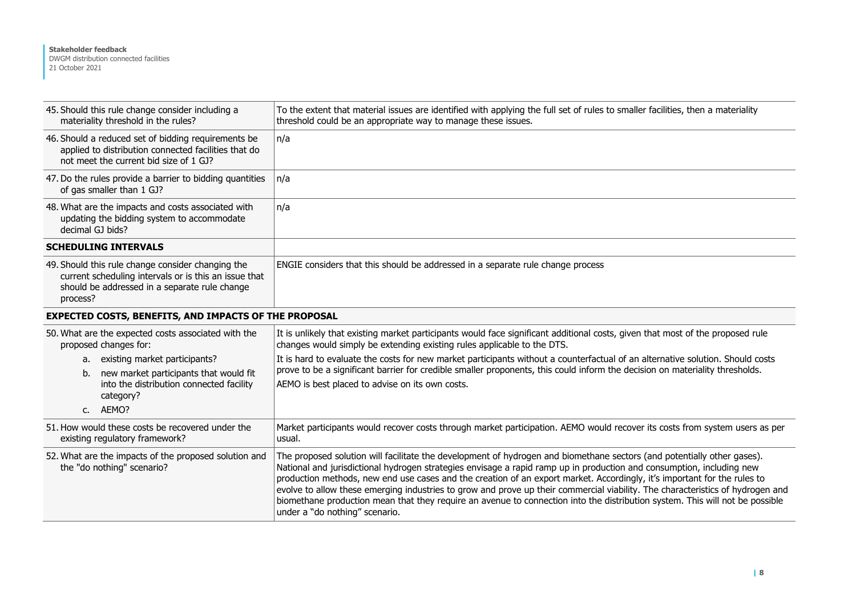| 45. Should this rule change consider including a<br>materiality threshold in the rules?                                                                                 | To the extent that material issues are identified with applying the full set of rules to smaller facilities, then a materiality<br>threshold could be an appropriate way to manage these issues.                                                                                                                                                                                                                                                                                                                                                                                                                                                                                 |
|-------------------------------------------------------------------------------------------------------------------------------------------------------------------------|----------------------------------------------------------------------------------------------------------------------------------------------------------------------------------------------------------------------------------------------------------------------------------------------------------------------------------------------------------------------------------------------------------------------------------------------------------------------------------------------------------------------------------------------------------------------------------------------------------------------------------------------------------------------------------|
| 46. Should a reduced set of bidding requirements be<br>applied to distribution connected facilities that do<br>not meet the current bid size of 1 GJ?                   | n/a                                                                                                                                                                                                                                                                                                                                                                                                                                                                                                                                                                                                                                                                              |
| 47. Do the rules provide a barrier to bidding quantities<br>of gas smaller than 1 GJ?                                                                                   | n/a                                                                                                                                                                                                                                                                                                                                                                                                                                                                                                                                                                                                                                                                              |
| 48. What are the impacts and costs associated with<br>updating the bidding system to accommodate<br>decimal GJ bids?                                                    | n/a                                                                                                                                                                                                                                                                                                                                                                                                                                                                                                                                                                                                                                                                              |
| <b>SCHEDULING INTERVALS</b>                                                                                                                                             |                                                                                                                                                                                                                                                                                                                                                                                                                                                                                                                                                                                                                                                                                  |
| 49. Should this rule change consider changing the<br>current scheduling intervals or is this an issue that<br>should be addressed in a separate rule change<br>process? | ENGIE considers that this should be addressed in a separate rule change process                                                                                                                                                                                                                                                                                                                                                                                                                                                                                                                                                                                                  |
| <b>EXPECTED COSTS, BENEFITS, AND IMPACTS OF THE PROPOSAL</b>                                                                                                            |                                                                                                                                                                                                                                                                                                                                                                                                                                                                                                                                                                                                                                                                                  |
| 50. What are the expected costs associated with the<br>proposed changes for:                                                                                            | It is unlikely that existing market participants would face significant additional costs, given that most of the proposed rule<br>changes would simply be extending existing rules applicable to the DTS.                                                                                                                                                                                                                                                                                                                                                                                                                                                                        |
| a. existing market participants?<br>b. new market participants that would fit<br>into the distribution connected facility<br>category?<br>c. AEMO?                      | It is hard to evaluate the costs for new market participants without a counterfactual of an alternative solution. Should costs<br>prove to be a significant barrier for credible smaller proponents, this could inform the decision on materiality thresholds.<br>AEMO is best placed to advise on its own costs.                                                                                                                                                                                                                                                                                                                                                                |
| 51. How would these costs be recovered under the<br>existing regulatory framework?                                                                                      | Market participants would recover costs through market participation. AEMO would recover its costs from system users as per<br>usual.                                                                                                                                                                                                                                                                                                                                                                                                                                                                                                                                            |
| 52. What are the impacts of the proposed solution and<br>the "do nothing" scenario?                                                                                     | The proposed solution will facilitate the development of hydrogen and biomethane sectors (and potentially other gases).<br>National and jurisdictional hydrogen strategies envisage a rapid ramp up in production and consumption, including new<br>production methods, new end use cases and the creation of an export market. Accordingly, it's important for the rules to<br>evolve to allow these emerging industries to grow and prove up their commercial viability. The characteristics of hydrogen and<br>biomethane production mean that they require an avenue to connection into the distribution system. This will not be possible<br>under a "do nothing" scenario. |